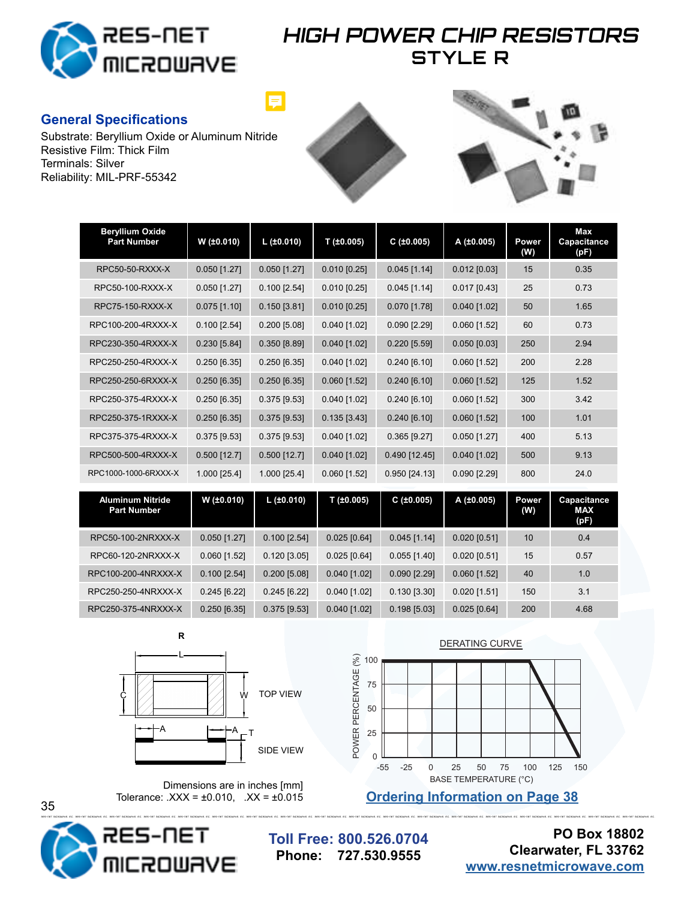

### **HIGH POWER CHIP RESISTORS STYLE R**

#### **General Specifications**

Substrate: Beryllium Oxide or Aluminum Nitride Resistive Film: Thick Film Terminals: Silver Reliability: MIL-PRF-55342





| <b>Beryllium Oxide</b><br><b>Part Number</b>  | W (±0.010)     | $L$ (±0.010)   | T (±0.005)     | C(±0.005)          | A (±0.005)     | Power<br>(W) | Max<br>Capacitance<br>(pF)        |
|-----------------------------------------------|----------------|----------------|----------------|--------------------|----------------|--------------|-----------------------------------|
| RPC50-50-RXXX-X                               | $0.050$ [1.27] | $0.050$ [1.27] | $0.010$ [0.25] | $0.045$ [1.14]     | $0.012$ [0.03] | 15           | 0.35                              |
| RPC50-100-RXXX-X                              | $0.050$ [1.27] | $0.100$ [2.54] | $0.010$ [0.25] | $0.045$ [1.14]     | $0.017$ [0.43] | 25           | 0.73                              |
| RPC75-150-RXXX-X                              | $0.075$ [1.10] | $0.150$ [3.81] | $0.010$ [0.25] | $0.070$ [1.78]     | $0.040$ [1.02] | 50           | 1.65                              |
| RPC100-200-4RXXX-X                            | $0.100$ [2.54] | $0.200$ [5.08] | 0.040 [1.02]   | 0.090 [2.29]       | $0.060$ [1.52] | 60           | 0.73                              |
| RPC230-350-4RXXX-X                            | $0.230$ [5.84] | 0.350 [8.89]   | 0.040 [1.02]   | 0.220 [5.59]       | $0.050$ [0.03] | 250          | 2.94                              |
| RPC250-250-4RXXX-X                            | $0.250$ [6.35] | $0.250$ [6.35] | $0.040$ [1.02] | 0.240 [6.10]       | $0.060$ [1.52] | 200          | 2.28                              |
| RPC250-250-6RXXX-X                            | $0.250$ [6.35] | $0.250$ [6.35] | $0.060$ [1.52] | 0.240 [6.10]       | $0.060$ [1.52] | 125          | 1.52                              |
| RPC250-375-4RXXX-X                            | $0.250$ [6.35] | $0.375$ [9.53] | $0.040$ [1.02] | $0.240$ [6.10]     | $0.060$ [1.52] | 300          | 3.42                              |
| RPC250-375-1RXXX-X                            | $0.250$ [6.35] | $0.375$ [9.53] | $0.135$ [3.43] | $0.240$ [6.10]     | $0.060$ [1.52] | 100          | 1.01                              |
| RPC375-375-4RXXX-X                            | $0.375$ [9.53] | $0.375$ [9.53] | $0.040$ [1.02] | $0.365$ [ $9.27$ ] | $0.050$ [1.27] | 400          | 5.13                              |
| RPC500-500-4RXXX-X                            | $0.500$ [12.7] | $0.500$ [12.7] | 0.040 [1.02]   | 0.490 [12.45]      | $0.040$ [1.02] | 500          | 9.13                              |
| RPC1000-1000-6RXXX-X                          | 1.000 [25.4]   | 1.000 [25.4]   | $0.060$ [1.52] | 0.950 [24.13]      | $0.090$ [2.29] | 800          | 24.0                              |
| <b>Aluminum Nitride</b><br><b>Part Number</b> | W (±0.010)     | L(±0.010)      | T(±0.005)      | C(±0.005)          | A (±0.005)     | Power<br>(W) | Capacitance<br><b>MAX</b><br>(pF) |
| RPC50-100-2NRXXX-X                            | $0.050$ [1.27] | $0.100$ [2.54] | $0.025$ [0.64] | $0.045$ [1.14]     | $0.020$ [0.51] | 10           | 0.4                               |
| RPC60-120-2NRXXX-X                            | $0.060$ [1.52] | $0.120$ [3.05] | $0.025$ [0.64] | $0.055$ [1.40]     | $0.020$ [0.51] | 15           | 0.57                              |

RPC100-200-4NRXXX-X 0.100 [2.54] 0.200 [5.08] 0.040 [1.02] 0.090 [2.29] 0.060 [1.52] 40 1.0 RPC250-250-4NRXXX-X 0.245 [6.22] 0.245 [6.22] 0.040 [1.02] 0.130 [3.30] 0.020 [1.51] 150 3.1 RPC250-375-4NRXXX-X 0.250 [6.35] 0.375 [9.53] 0.040 [1.02] 0.198 [5.03] 0.025 [0.64] 200 4.68





Dimensions are in inches [mm] Tolerance:  $\text{.XXX} = \pm 0.010$ ,  $\text{.XX} = \pm 0.015$ 



35

**Toll Free: 800.526.0704 Phone: 727.530.9555**

**PO Box 18802 Clearwater, FL 33762 [www.resnetmicrowave.com](http://www.resnetmicrowave.com)**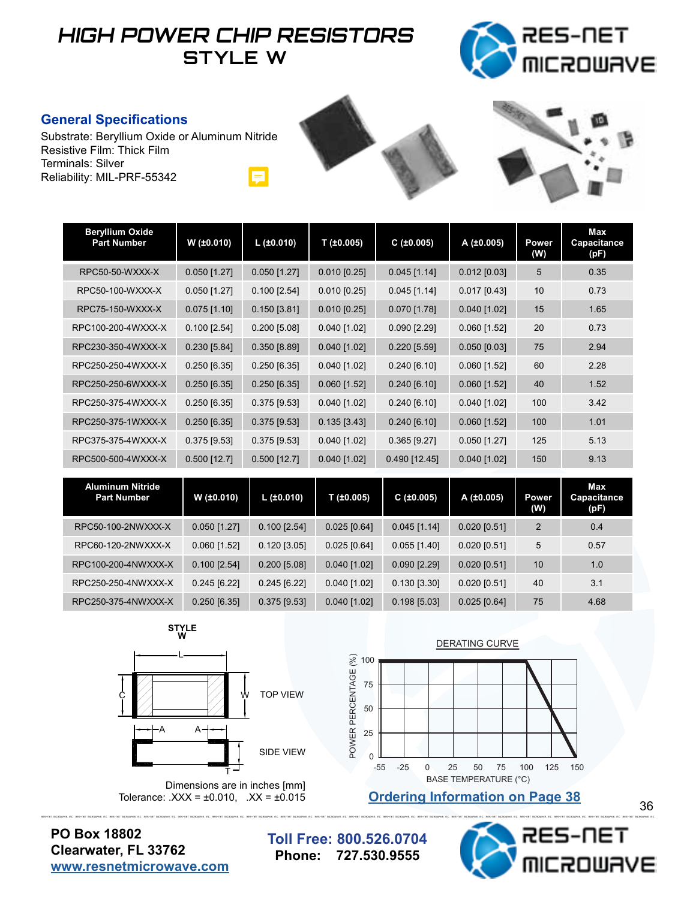# **HIGH POWER CHIP RESISTORS STYLE W**



#### **General Specifications**

Substrate: Beryllium Oxide or Aluminum Nitride Resistive Film: Thick Film Terminals: Silver Reliability: MIL-PRF-55342 Ŗ



| <b>Beryllium Oxide</b><br><b>Part Number</b> | W (±0.010)     | $L$ (±0.010)   | T (±0.005)     | C(±0.005)      | A (±0.005)     | Power<br>(W) | Max<br>Capacitance<br>(pF) |
|----------------------------------------------|----------------|----------------|----------------|----------------|----------------|--------------|----------------------------|
| RPC50-50-WXXX-X                              | $0.050$ [1.27] | $0.050$ [1.27] | $0.010$ [0.25] | $0.045$ [1.14] | $0.012$ [0.03] | 5            | 0.35                       |
| RPC50-100-WXXX-X                             | $0.050$ [1.27] | $0.100$ [2.54] | $0.010$ [0.25] | $0.045$ [1.14] | $0.017$ [0.43] | 10           | 0.73                       |
| RPC75-150-WXXX-X                             | $0.075$ [1.10] | $0.150$ [3.81] | $0.010$ [0.25] | $0.070$ [1.78] | $0.040$ [1.02] | 15           | 1.65                       |
| RPC100-200-4WXXX-X                           | $0.100$ [2.54] | $0.200$ [5.08] | $0.040$ [1.02] | $0.090$ [2.29] | $0.060$ [1.52] | 20           | 0.73                       |
| RPC230-350-4WXXX-X                           | $0.230$ [5.84] | 0.350 [8.89]   | $0.040$ [1.02] | $0.220$ [5.59] | $0.050$ [0.03] | 75           | 2.94                       |
| RPC250-250-4WXXX-X                           | $0.250$ [6.35] | $0.250$ [6.35] | $0.040$ [1.02] | 0.240 [6.10]   | $0.060$ [1.52] | 60           | 2.28                       |
| RPC250-250-6WXXX-X                           | $0.250$ [6.35] | $0.250$ [6.35] | $0.060$ [1.52] | 0.240 [6.10]   | $0.060$ [1.52] | 40           | 1.52                       |
| RPC250-375-4WXXX-X                           | $0.250$ [6.35] | $0.375$ [9.53] | $0.040$ [1.02] | $0.240$ [6.10] | $0.040$ [1.02] | 100          | 3.42                       |
| RPC250-375-1WXXX-X                           | $0.250$ [6.35] | $0.375$ [9.53] | $0.135$ [3.43] | 0.240 [6.10]   | $0.060$ [1.52] | 100          | 1.01                       |
| RPC375-375-4WXXX-X                           | $0.375$ [9.53] | $0.375$ [9.53] | $0.040$ [1.02] | $0.365$ [9.27] | $0.050$ [1.27] | 125          | 5.13                       |
| RPC500-500-4WXXX-X                           | $0.500$ [12.7] | $0.500$ [12.7] | $0.040$ [1.02] | 0.490 [12.45]  | $0.040$ [1.02] | 150          | 9.13                       |
| Aluminum Nitride                             |                |                |                |                |                |              | May                        |

| Aluminum Nit <u>ride -</u><br><b>Part Number</b> | W(±0.010)      | L $(\pm 0.010)$ | $T$ (±0.005)   | C(±0.005)      | A(±0.005)      | <b>Power</b><br>(W) | Max<br>Capacitance<br>(pF) |
|--------------------------------------------------|----------------|-----------------|----------------|----------------|----------------|---------------------|----------------------------|
| RPC50-100-2NWXXX-X                               | $0.050$ [1.27] | $0.100$ [2.54]  | $0.025$ [0.64] | $0.045$ [1.14] | $0.020$ [0.51] | 2                   | 0.4                        |
| RPC60-120-2NWXXX-X                               | $0.060$ [1.52] | $0.120$ [3.05]  | $0.025$ [0.64] | $0.055$ [1.40] | $0.020$ [0.51] | 5                   | 0.57                       |
| RPC100-200-4NWXXX-X                              | $0.100$ [2.54] | $0.200$ [5.08]  | $0.040$ [1.02] | $0.090$ [2.29] | $0.020$ [0.51] | 10                  | 1.0                        |
| RPC250-250-4NWXXX-X                              | $0.245$ [6.22] | $0.245$ [6.22]  | $0.040$ [1.02] | $0.130$ [3.30] | $0.020$ [0.51] | 40                  | 3.1                        |
| RPC250-375-4NWXXX-X                              | $0.250$ [6.35] | $0.375$ [9.53]  | $0.040$ [1.02] | $0.198$ [5.03] | $0.025$ [0.64] | 75                  | 4.68                       |

**STYLE W**



Dimensions are in inches [mm] Tolerance:  $.XXX = \pm 0.010$ ,  $.XX = \pm 0.015$ 



**Ordering Information on Page 38**

**PO Box 18802 Clearwater, FL 33762 [www.resnetmicrowave.com](http://www.resnetmicrowave.com)**

**Toll Free: 800.526.0704 Phone: 727.530.9555**

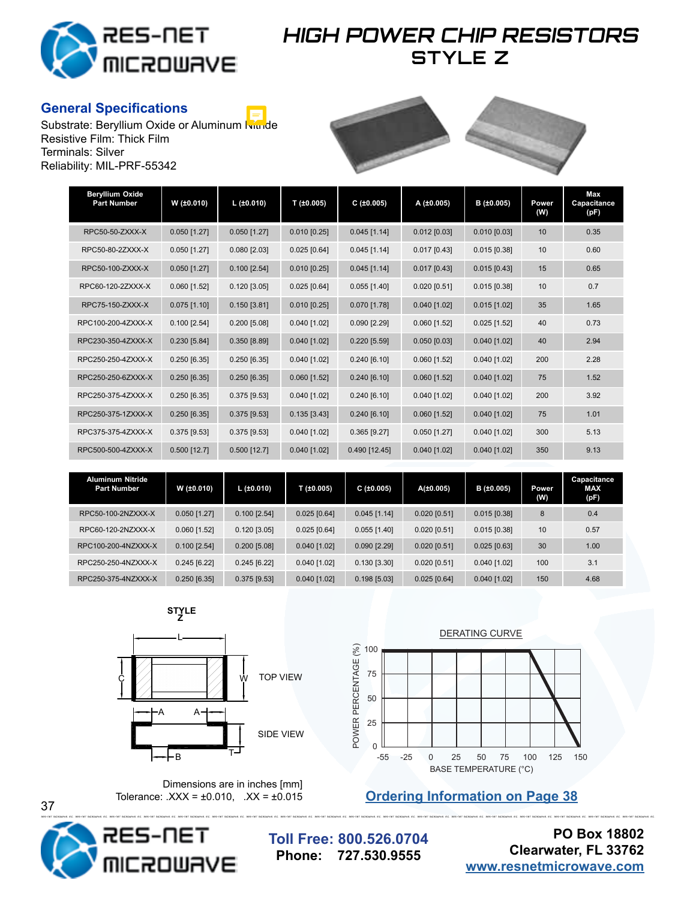

## **HIGH POWER CHIP RESISTORS STYLE Z**

### **General Specifications**

Substrate: Beryllium Oxide or Aluminum Nimde Resistive Film: Thick Film Terminals: Silver Reliability: MIL-PRF-55342



| <b>Beryllium Oxide</b><br><b>Part Number</b> | W (±0.010)     | $L$ (±0.010)   | T(±0.005)      | C(±0.005)      | A (±0.005)     | B (±0.005)     | Power<br>(W) | Max<br>Capacitance<br>(pF) |
|----------------------------------------------|----------------|----------------|----------------|----------------|----------------|----------------|--------------|----------------------------|
| RPC50-50-ZXXX-X                              | $0.050$ [1.27] | $0.050$ [1.27] | $0.010$ [0.25] | $0.045$ [1.14] | $0.012$ [0.03] | $0.010$ [0.03] | 10           | 0.35                       |
| RPC50-80-2ZXXX-X                             | $0.050$ [1.27] | $0.080$ [2.03] | $0.025$ [0.64] | $0.045$ [1.14] | $0.017$ [0.43] | $0.015$ [0.38] | 10           | 0.60                       |
| RPC50-100-ZXXX-X                             | $0.050$ [1.27] | $0.100$ [2.54] | $0.010$ [0.25] | $0.045$ [1.14] | $0.017$ [0.43] | $0.015$ [0.43] | 15           | 0.65                       |
| RPC60-120-2ZXXX-X                            | $0.060$ [1.52] | $0.120$ [3.05] | $0.025$ [0.64] | $0.055$ [1.40] | $0.020$ [0.51] | $0.015$ [0.38] | 10           | 0.7                        |
| RPC75-150-ZXXX-X                             | $0.075$ [1.10] | $0.150$ [3.81] | $0.010$ [0.25] | $0.070$ [1.78] | $0.040$ [1.02] | $0.015$ [1.02] | 35           | 1.65                       |
| RPC100-200-4ZXXX-X                           | $0.100$ [2.54] | $0.200$ [5.08] | $0.040$ [1.02] | $0.090$ [2.29] | $0.060$ [1.52] | $0.025$ [1.52] | 40           | 0.73                       |
| RPC230-350-4ZXXX-X                           | $0.230$ [5.84] | 0.350 [8.89]   | $0.040$ [1.02] | $0.220$ [5.59] | $0.050$ [0.03] | $0.040$ [1.02] | 40           | 2.94                       |
| RPC250-250-4ZXXX-X                           | $0.250$ [6.35] | $0.250$ [6.35] | $0.040$ [1.02] | $0.240$ [6.10] | $0.060$ [1.52] | $0.040$ [1.02] | 200          | 2.28                       |
| RPC250-250-6ZXXX-X                           | $0.250$ [6.35] | $0.250$ [6.35] | $0.060$ [1.52] | $0.240$ [6.10] | $0.060$ [1.52] | $0.040$ [1.02] | 75           | 1.52                       |
| RPC250-375-4ZXXX-X                           | $0.250$ [6.35] | $0.375$ [9.53] | $0.040$ [1.02] | $0.240$ [6.10] | $0.040$ [1.02] | $0.040$ [1.02] | 200          | 3.92                       |
| RPC250-375-1ZXXX-X                           | $0.250$ [6.35] | $0.375$ [9.53] | $0.135$ [3.43] | $0.240$ [6.10] | $0.060$ [1.52] | $0.040$ [1.02] | 75           | 1.01                       |
| RPC375-375-4ZXXX-X                           | $0.375$ [9.53] | $0.375$ [9.53] | $0.040$ [1.02] | $0.365$ [9.27] | $0.050$ [1.27] | $0.040$ [1.02] | 300          | 5.13                       |
| RPC500-500-4ZXXX-X                           | $0.500$ [12.7] | $0.500$ [12.7] | $0.040$ [1.02] | 0.490 [12.45]  | $0.040$ [1.02] | $0.040$ [1.02] | 350          | 9.13                       |

| <b>Aluminum Nitride</b><br><b>Part Number</b> | W (±0.010)     | L $(\pm 0.010)$ | $T$ (±0.005)   | C(±0.005)      | A(±0.005)      | B(±0.005)      | Power<br>(W) | Capacitance<br><b>MAX</b><br>(pF) |
|-----------------------------------------------|----------------|-----------------|----------------|----------------|----------------|----------------|--------------|-----------------------------------|
| RPC50-100-2NZXXX-X                            | $0.050$ [1.27] | $0.100$ [2.54]  | $0.025$ [0.64] | $0.045$ [1.14] | $0.020$ [0.51] | $0.015$ [0.38] | 8            | 0.4                               |
| RPC60-120-2NZXXX-X                            | $0.060$ [1.52] | $0.120$ [3.05]  | $0.025$ [0.64] | $0.055$ [1.40] | $0.020$ [0.51] | $0.015$ [0.38] | 10           | 0.57                              |
| RPC100-200-4NZXXX-X                           | $0.100$ [2.54] | $0.200$ [5.08]  | $0.040$ [1.02] | $0.090$ [2.29] | $0.020$ [0.51] | $0.025$ [0.63] | 30           | 1.00                              |
| RPC250-250-4NZXXX-X                           | $0.245$ [6.22] | $0.245$ [6.22]  | $0.040$ [1.02] | $0.130$ [3.30] | $0.020$ [0.51] | $0.040$ [1.02] | 100          | 3.1                               |
| RPC250-375-4NZXXX-X                           | $0.250$ [6.35] | $0.375$ [9.53]  | $0.040$ [1.02] | $0.198$ [5.03] | $0.025$ [0.64] | $0.040$ [1.02] | 150          | 4.68                              |

**STYLE Z**





**Ordering Information on Page 38** 

Dimensions are in inches  $[mm]$ <br>Tolerance:  $\text{XXX} = \pm 0.010$ ,  $\text{XX} = \pm 0.015$ 



37

**Toll Free: 800.526.0704 Phone: 727.530.9555**

**PO Box 18802 Clearwater, FL 33762 [www.resnetmicrowave.com](http://www.resnetmicrowave.com)**